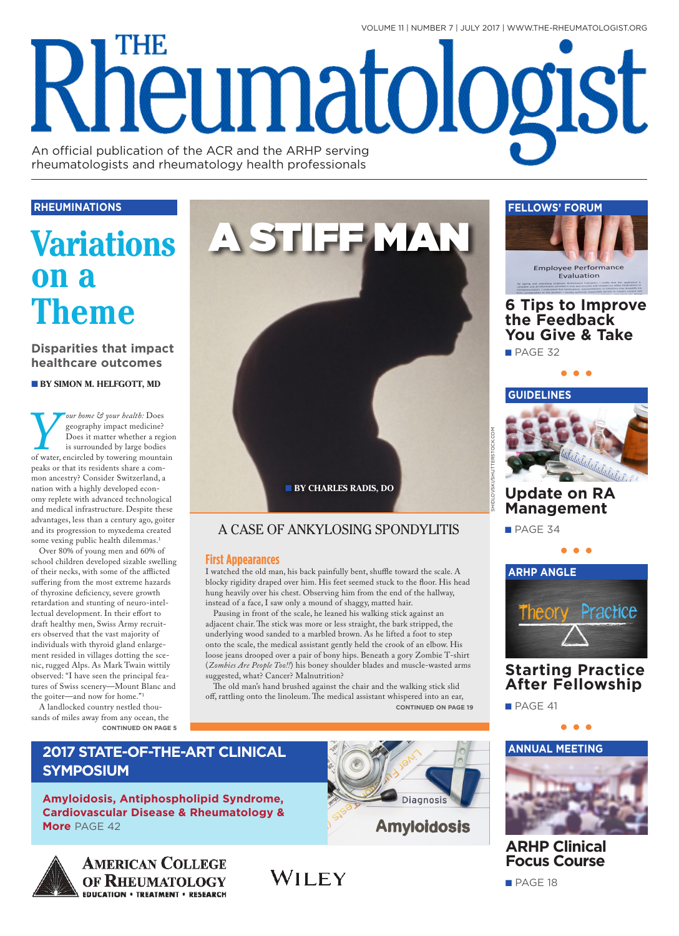VOLUME 11 | NUMBER 7 | JULY 2017 | WWW.THE-RHEUMATOLOGIST.ORG

# THE Rheumatologist An official publication of the ACR and the ARHP serving

rheumatologists and rheumatology health professionals

### **RHEUMINATIONS**

## **Variations on a Theme**

**Disparities that impact healthcare outcomes**

■ **BY SIMON M. HELFGOTT, MD**

*Sur home*  $\mathcal{F}$  *your health:* Does geography impact medicine?<br>Does it matter whether a reg is surrounded by large bodies<br>of water, encircled by towering mounta<br>peaks or that its residents share a comgeography impact medicine? Does it matter whether a region is surrounded by large bodies of water, encircled by towering mountain peaks or that its residents share a common ancestry? Consider Switzerland, a nation with a highly developed economy replete with advanced technological and medical infrastructure. Despite these advantages, less than a century ago, goiter and its progression to myxedema created some vexing public health dilemmas.<sup>1</sup>

Over 80% of young men and 60% of school children developed sizable swelling of their necks, with some of the afflicted suffering from the most extreme hazards of thyroxine deficiency, severe growth retardation and stunting of neuro-intellectual development. In their effort to draft healthy men, Swiss Army recruiters observed that the vast majority of individuals with thyroid gland enlargement resided in villages dotting the scenic, rugged Alps. As Mark Twain wittily observed: "I have seen the principal features of Swiss scenery—Mount Blanc and the goiter—and now for home."1

A landlocked country nestled thousands of miles away from any ocean, the **CONTINUED ON PAGE 5**

**SYMPOSIUM**

**More** PAGE 42



## A CASE OF ANKYLOSING SPONDYLITIS

### **First Appearances**

I watched the old man, his back painfully bent, shuffle toward the scale. A blocky rigidity draped over him. His feet seemed stuck to the floor. His head hung heavily over his chest. Observing him from the end of the hallway, instead of a face, I saw only a mound of shaggy, matted hair.

Pausing in front of the scale, he leaned his walking stick against an adjacent chair. The stick was more or less straight, the bark stripped, the underlying wood sanded to a marbled brown. As he lifted a foot to step onto the scale, the medical assistant gently held the crook of an elbow. His loose jeans drooped over a pair of bony hips. Beneath a gory Zombie T-shirt (*Zombies Are People Too!!*) his boney shoulder blades and muscle-wasted arms suggested, what? Cancer? Malnutrition?

The old man's hand brushed against the chair and the walking stick slid off, rattling onto the linoleum. The medical assistant whispered into an ear, **CONTINUED ON PAGE 19**

WILEY

**•••**



## **ARHP Clinical Focus Course**

**AMERICAN COLLEGE** OF RHEUMATOLOGY **EDUCATION · TREATMENT · RESEARCH** 

**2017 STATE-OF-THE-ART CLINICAL** 

**Amyloidosis, Antiphospholipid Syndrome, Cardiovascular Disease & Rheumatology &** 





## **6 Tips to Improve the Feedback You Give & Take**

**•••**

■ PAGE 32



## **Update on RA Management**

■ PAGE 34

SHIDLOVSKI/SHUTTERSTOCK.COM



## **Starting Practice After Fellowship**

■ PAGE 41

■ PAGE 18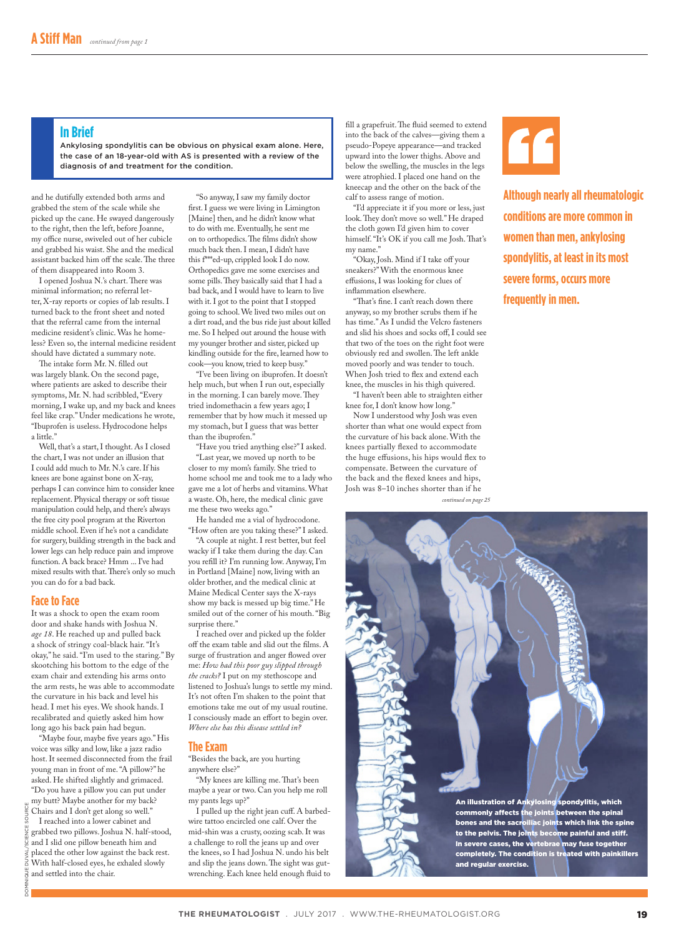#### **In Brief**

Ankylosing spondylitis can be obvious on physical exam alone. Here, the case of an 18-year-old with AS is presented with a review of the diagnosis of and treatment for the condition.

and he dutifully extended both arms and grabbed the stem of the scale while she picked up the cane. He swayed dangerously to the right, then the left, before Joanne, my office nurse, swiveled out of her cubicle and grabbed his waist. She and the medical assistant backed him off the scale. The three of them disappeared into Room 3.

I opened Joshua N.'s chart. There was minimal information; no referral letter, X-ray reports or copies of lab results. I turned back to the front sheet and noted that the referral came from the internal medicine resident's clinic. Was he homeless? Even so, the internal medicine resident should have dictated a summary note.

The intake form Mr. N. filled out was largely blank. On the second page, where patients are asked to describe their symptoms, Mr. N. had scribbled, "Every morning, I wake up, and my back and knees feel like crap." Under medications he wrote, "Ibuprofen is useless. Hydrocodone helps a little."

Well, that's a start, I thought. As I closed the chart, I was not under an illusion that I could add much to Mr. N.'s care. If his knees are bone against bone on X-ray, perhaps I can convince him to consider knee replacement. Physical therapy or soft tissue manipulation could help, and there's always the free city pool program at the Riverton middle school. Even if he's not a candidate for surgery, building strength in the back and lower legs can help reduce pain and improve function. A back brace? Hmm ... I've had mixed results with that. There's only so much you can do for a bad back.

#### **Face to Face**

It was a shock to open the exam room door and shake hands with Joshua N. *age 18*. He reached up and pulled back a shock of stringy coal-black hair. "It's okay," he said. "I'm used to the staring." By skootching his bottom to the edge of the exam chair and extending his arms onto the arm rests, he was able to accommodate the curvature in his back and level his head. I met his eyes. We shook hands. I recalibrated and quietly asked him how long ago his back pain had begun.

"Maybe four, maybe five years ago." His voice was silky and low, like a jazz radio host. It seemed disconnected from the frail young man in front of me. "A pillow?" he asked. He shifted slightly and grimaced. "Do you have a pillow you can put under

my butt? Maybe another for my back? DOMINIQUE DUVAL/SCIENCE SOURCE Chairs and I don't get along so well." I reached into a lower cabinet and grabbed two pillows. Joshua N. half-stood, and I slid one pillow beneath him and placed the other low against the back rest. With half-closed eyes, he exhaled slowly  $\frac{3}{2}$  and settled into the chair. pov

"So anyway, I saw my family doctor first. I guess we were living in Limington [Maine] then, and he didn't know what to do with me. Eventually, he sent me on to orthopedics. The films didn't show much back then. I mean, I didn't have this f\*\*\*ed-up, crippled look I do now. Orthopedics gave me some exercises and some pills. They basically said that I had a bad back, and I would have to learn to live with it. I got to the point that I stopped going to school. We lived two miles out on a dirt road, and the bus ride just about killed me. So I helped out around the house with my younger brother and sister, picked up kindling outside for the fire, learned how to cook—you know, tried to keep busy."

"I've been living on ibuprofen. It doesn't help much, but when I run out, especially in the morning. I can barely move. They tried indomethacin a few years ago; I remember that by how much it messed up my stomach, but I guess that was better than the ibuprofen."

"Have you tried anything else?" I asked. "Last year, we moved up north to be closer to my mom's family. She tried to home school me and took me to a lady who gave me a lot of herbs and vitamins. What a waste. Oh, here, the medical clinic gave me these two weeks ago."

He handed me a vial of hydrocodone. "How often are you taking these?" I asked.

"A couple at night. I rest better, but feel wacky if I take them during the day. Can you refill it? I'm running low. Anyway, I'm in Portland [Maine] now, living with an older brother, and the medical clinic at Maine Medical Center says the X-rays show my back is messed up big time." He smiled out of the corner of his mouth. "Big surprise there."

I reached over and picked up the folder off the exam table and slid out the films. A surge of frustration and anger flowed over me: *How had this poor guy slipped through the cracks?* I put on my stethoscope and listened to Joshua's lungs to settle my mind. It's not often I'm shaken to the point that emotions take me out of my usual routine. I consciously made an effort to begin over. *Where else has this disease settled in?* 

#### **The Exam**

"Besides the back, are you hurting anywhere else?"

"My knees are killing me. That's been maybe a year or two. Can you help me roll my pants legs up?"

I pulled up the right jean cuff. A barbedwire tattoo encircled one calf. Over the mid-shin was a crusty, oozing scab. It was a challenge to roll the jeans up and over the knees, so I had Joshua N. undo his belt and slip the jeans down. The sight was gutwrenching. Each knee held enough fluid to

fill a grapefruit. The fluid seemed to extend into the back of the calves—giving them a pseudo-Popeye appearance—and tracked upward into the lower thighs. Above and below the swelling, the muscles in the legs were atrophied. I placed one hand on the kneecap and the other on the back of the calf to assess range of motion.

"I'd appreciate it if you more or less, just look. They don't move so well." He draped the cloth gown I'd given him to cover himself. "It's OK if you call me Josh. That's my name."

"Okay, Josh. Mind if I take off your sneakers?" With the enormous knee effusions, I was looking for clues of inflammation elsewhere.

"That's fine. I can't reach down there anyway, so my brother scrubs them if he has time." As I undid the Velcro fasteners and slid his shoes and socks off, I could see that two of the toes on the right foot were obviously red and swollen. The left ankle moved poorly and was tender to touch. When Josh tried to flex and extend each knee, the muscles in his thigh quivered.

"I haven't been able to straighten either knee for, I don't know how long."

Now I understood why Josh was even shorter than what one would expect from the curvature of his back alone. With the knees partially flexed to accommodate the huge effusions, his hips would flex to compensate. Between the curvature of the back and the flexed knees and hips, Josh was 8–10 inches shorter than if he

*continued on page 25*



**Although nearly all rheumatologic conditions are more common in women than men, ankylosing spondylitis, at least in its most severe forms, occurs more frequently in men.**

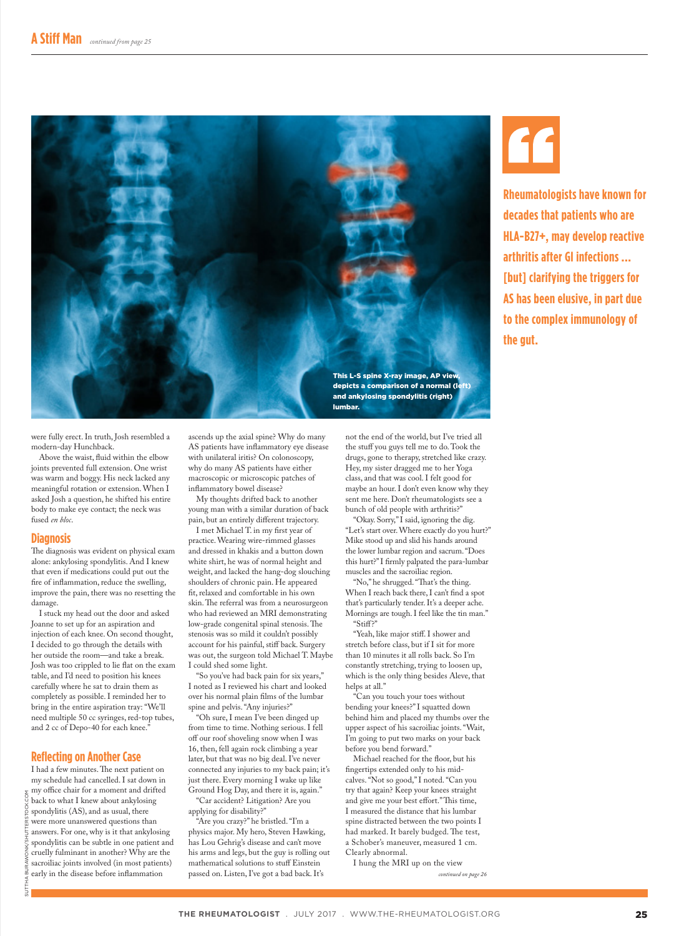

were fully erect. In truth, Josh resembled a modern-day Hunchback.

Above the waist, fluid within the elbow joints prevented full extension. One wrist was warm and boggy. His neck lacked any meaningful rotation or extension. When I asked Josh a question, he shifted his entire body to make eye contact; the neck was fused *en bloc*.

#### **Diagnosis**

The diagnosis was evident on physical exam alone: ankylosing spondylitis. And I knew that even if medications could put out the fire of inflammation, reduce the swelling, improve the pain, there was no resetting the damage.

I stuck my head out the door and asked Joanne to set up for an aspiration and injection of each knee. On second thought, I decided to go through the details with her outside the room—and take a break. Josh was too crippled to lie flat on the exam table, and I'd need to position his knees carefully where he sat to drain them as completely as possible. I reminded her to bring in the entire aspiration tray: "We'll need multiple 50 cc syringes, red-top tubes, and 2 cc of Depo-40 for each knee."

#### **Reflecting on Another Case**

I had a few minutes. The next patient on my schedule had cancelled. I sat down in my office chair for a moment and drifted back to what I knew about ankylosing spondylitis (AS), and as usual, there were more unanswered questions than answers. For one, why is it that ankylosing spondylitis can be subtle in one patient and cruelly fulminant in another? Why are the sacroiliac joints involved (in most patients) early in the disease before inflammation

ascends up the axial spine? Why do many AS patients have inflammatory eye disease with unilateral iritis? On colonoscopy, why do many AS patients have either macroscopic or microscopic patches of inflammatory bowel disease?

My thoughts drifted back to another young man with a similar duration of back pain, but an entirely different trajectory.

I met Michael T. in my first year of practice. Wearing wire-rimmed glasses and dressed in khakis and a button down white shirt, he was of normal height and weight, and lacked the hang-dog slouching shoulders of chronic pain. He appeared fit, relaxed and comfortable in his own skin. The referral was from a neurosurgeon who had reviewed an MRI demonstrating low-grade congenital spinal stenosis. The stenosis was so mild it couldn't possibly account for his painful, stiff back. Surgery was out, the surgeon told Michael T. Maybe I could shed some light.

"So you've had back pain for six years," I noted as I reviewed his chart and looked over his normal plain films of the lumbar spine and pelvis. "Any injuries?"

"Oh sure, I mean I've been dinged up from time to time. Nothing serious. I fell off our roof shoveling snow when I was 16, then, fell again rock climbing a year later, but that was no big deal. I've never connected any injuries to my back pain; it's just there. Every morning I wake up like Ground Hog Day, and there it is, again." "Car accident? Litigation? Are you

applying for disability?"

"Are you crazy?" he bristled. "I'm a physics major. My hero, Steven Hawking, has Lou Gehrig's disease and can't move his arms and legs, but the guy is rolling out mathematical solutions to stuff Einstein passed on. Listen, I've got a bad back. It's

not the end of the world, but I've tried all the stuff you guys tell me to do. Took the drugs, gone to therapy, stretched like crazy. Hey, my sister dragged me to her Yoga

class, and that was cool. I felt good for maybe an hour. I don't even know why they sent me here. Don't rheumatologists see a bunch of old people with arthritis?"

"Okay. Sorry," I said, ignoring the dig. "Let's start over. Where exactly do you hurt?" Mike stood up and slid his hands around the lower lumbar region and sacrum. "Does this hurt?" I firmly palpated the para-lumbar muscles and the sacroiliac region.

"No," he shrugged. "That's the thing. When I reach back there, I can't find a spot that's particularly tender. It's a deeper ache. Mornings are tough. I feel like the tin man." "Stiff?"

"Yeah, like major stiff. I shower and stretch before class, but if I sit for more than 10 minutes it all rolls back. So I'm constantly stretching, trying to loosen up, which is the only thing besides Aleve, that helps at all."

"Can you touch your toes without bending your knees?" I squatted down behind him and placed my thumbs over the upper aspect of his sacroiliac joints. "Wait, I'm going to put two marks on your back before you bend forward."

Michael reached for the floor, but his fingertips extended only to his midcalves. "Not so good," I noted. "Can you try that again? Keep your knees straight and give me your best effort." This time, I measured the distance that his lumbar spine distracted between the two points I had marked. It barely budged. The test, a Schober's maneuver, measured 1 cm. Clearly abnormal.

I hung the MRI up on the view

*continued on page 26*



**Rheumatologists have known for decades that patients who are HLA-B27+, may develop reactive arthritis after GI infections ... [but] clarifying the triggers for AS has been elusive, in part due to the complex immunology of the gut.**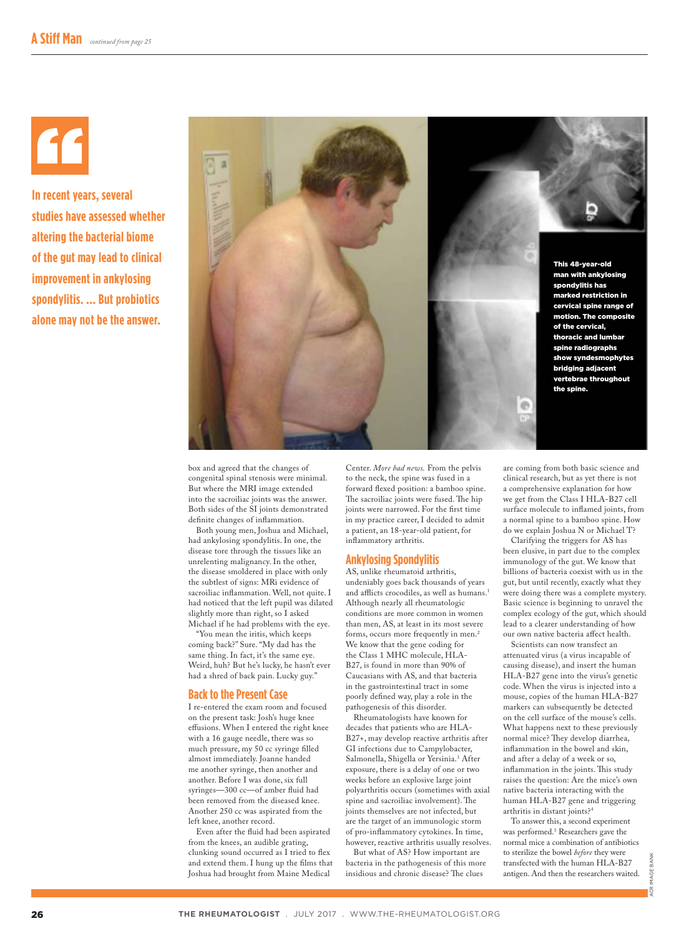**In recent years, several studies have assessed whether altering the bacterial biome of the gut may lead to clinical improvement in ankylosing spondylitis. ... But probiotics alone may not be the answer.**



box and agreed that the changes of congenital spinal stenosis were minimal. But where the MRI image extended into the sacroiliac joints was the answer. Both sides of the SI joints demonstrated definite changes of inflammation.

Both young men, Joshua and Michael, had ankylosing spondylitis. In one, the disease tore through the tissues like an unrelenting malignancy. In the other, the disease smoldered in place with only the subtlest of signs: MRi evidence of sacroiliac inflammation. Well, not quite. I had noticed that the left pupil was dilated slightly more than right, so I asked Michael if he had problems with the eye.

"You mean the iritis, which keeps coming back?" Sure. "My dad has the same thing. In fact, it's the same eye. Weird, huh? But he's lucky, he hasn't ever had a shred of back pain. Lucky guy."

#### **Back to the Present Case**

I re-entered the exam room and focused on the present task: Josh's huge knee effusions. When I entered the right knee with a 16 gauge needle, there was so much pressure, my 50 cc syringe filled almost immediately. Joanne handed me another syringe, then another and another. Before I was done, six full syringes—300 cc—of amber fluid had been removed from the diseased knee. Another 250 cc was aspirated from the left knee, another record.

Even after the fluid had been aspirated from the knees, an audible grating, clunking sound occurred as I tried to flex and extend them. I hung up the films that Joshua had brought from Maine Medical

Center. *More bad news.* From the pelvis to the neck, the spine was fused in a forward flexed position: a bamboo spine. The sacroiliac joints were fused. The hip joints were narrowed. For the first time in my practice career, I decided to admit a patient, an 18-year-old patient, for inflammatory arthritis.

#### **Ankylosing Spondylitis**

AS, unlike rheumatoid arthritis, undeniably goes back thousands of years and afflicts crocodiles, as well as humans.<sup>1</sup> Although nearly all rheumatologic conditions are more common in women than men, AS, at least in its most severe forms, occurs more frequently in men.2 We know that the gene coding for the Class 1 MHC molecule, HLA-B27, is found in more than 90% of Caucasians with AS, and that bacteria in the gastrointestinal tract in some poorly defined way, play a role in the pathogenesis of this disorder.

Rheumatologists have known for decades that patients who are HLA-B27+, may develop reactive arthritis after GI infections due to Campylobacter, Salmonella, Shigella or Yersinia.3 After exposure, there is a delay of one or two weeks before an explosive large joint polyarthritis occurs (sometimes with axial spine and sacroiliac involvement). The joints themselves are not infected, but are the target of an immunologic storm of pro-inflammatory cytokines. In time, however, reactive arthritis usually resolves.

But what of AS? How important are bacteria in the pathogenesis of this more insidious and chronic disease? The clues

are coming from both basic science and clinical research, but as yet there is not a comprehensive explanation for how we get from the Class I HLA-B27 cell surface molecule to inflamed joints, from a normal spine to a bamboo spine. How do we explain Joshua N or Michael T?

Clarifying the triggers for AS has been elusive, in part due to the complex immunology of the gut. We know that billions of bacteria coexist with us in the gut, but until recently, exactly what they were doing there was a complete mystery. Basic science is beginning to unravel the complex ecology of the gut, which should lead to a clearer understanding of how our own native bacteria affect health.

Scientists can now transfect an attenuated virus (a virus incapable of causing disease), and insert the human HLA-B27 gene into the virus's genetic code. When the virus is injected into a mouse, copies of the human HLA-B27 markers can subsequently be detected on the cell surface of the mouse's cells. What happens next to these previously normal mice? They develop diarrhea, inflammation in the bowel and skin, and after a delay of a week or so, inflammation in the joints. This study raises the question: Are the mice's own native bacteria interacting with the human HLA-B27 gene and triggering arthritis in distant joints?4

To answer this, a second experiment was performed.5 Researchers gave the normal mice a combination of antibiotics to sterilize the bowel *before* they were transfected with the human HLA-B27 antigen. And then the researchers waited.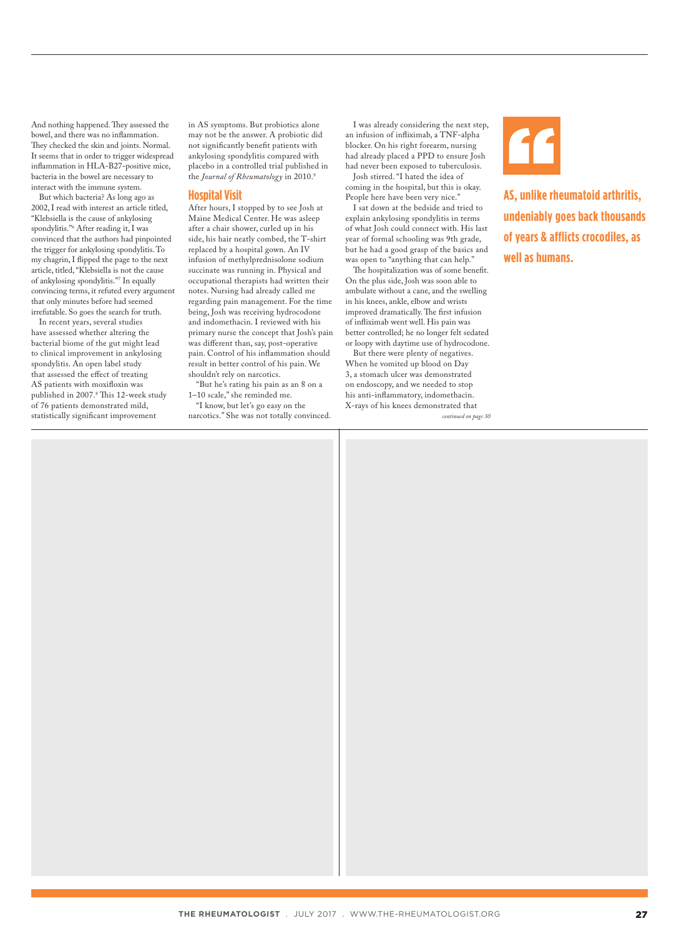And nothing happened. They assessed the bowel, and there was no inflammation. They checked the skin and joints. Normal. It seems that in order to trigger widespread inflammation in HLA-B27-positive mice, bacteria in the bowel are necessary to interact with the immune system.

But which bacteria? As long ago as 2002, I read with interest an article titled, "Klebsiella is the cause of ankylosing spondylitis."6 After reading it, I was convinced that the authors had pinpointed the trigger for ankylosing spondylitis. To my chagrin, I flipped the page to the next article, titled, "Klebsiella is not the cause of ankylosing spondylitis."7 In equally convincing terms, it refuted every argument that only minutes before had seemed irrefutable. So goes the search for truth.

In recent years, several studies have assessed whether altering the bacterial biome of the gut might lead to clinical improvement in ankylosing spondylitis. An open label study that assessed the effect of treating AS patients with moxifloxin was published in 2007.8 This 12-week study of 76 patients demonstrated mild, statistically significant improvement

in AS symptoms. But probiotics alone may not be the answer. A probiotic did not significantly benefit patients with ankylosing spondylitis compared with placebo in a controlled trial published in the *Journal of Rheumatology* in 2010.9

#### **Hospital Visit**

After hours, I stopped by to see Josh at Maine Medical Center. He was asleep after a chair shower, curled up in his side, his hair neatly combed, the T-shirt replaced by a hospital gown. An IV infusion of methylprednisolone sodium succinate was running in. Physical and occupational therapists had written their notes. Nursing had already called me regarding pain management. For the time being, Josh was receiving hydrocodone and indomethacin. I reviewed with his primary nurse the concept that Josh's pain was different than, say, post-operative pain. Control of his inflammation should result in better control of his pain. We shouldn't rely on narcotics.

"But he's rating his pain as an 8 on a 1–10 scale," she reminded me. "I know, but let's go easy on the

narcotics." She was not totally convinced.

I was already considering the next step, an infusion of infliximab, a TNF-alpha blocker. On his right forearm, nursing had already placed a PPD to ensure Josh had never been exposed to tuberculosis.

Josh stirred. "I hated the idea of coming in the hospital, but this is okay. People here have been very nice."

I sat down at the bedside and tried to explain ankylosing spondylitis in terms of what Josh could connect with. His last year of formal schooling was 9th grade, but he had a good grasp of the basics and was open to "anything that can help."

The hospitalization was of some benefit. On the plus side, Josh was soon able to ambulate without a cane, and the swelling in his knees, ankle, elbow and wrists improved dramatically. The first infusion of infliximab went well. His pain was better controlled; he no longer felt sedated or loopy with daytime use of hydrocodone.

But there were plenty of negatives. When he vomited up blood on Day 3, a stomach ulcer was demonstrated on endoscopy, and we needed to stop his anti-inflammatory, indomethacin. X-rays of his knees demonstrated that *continued on page 30*



**AS, unlike rheumatoid arthritis, undeniably goes back thousands of years & afflicts crocodiles, as well as humans.**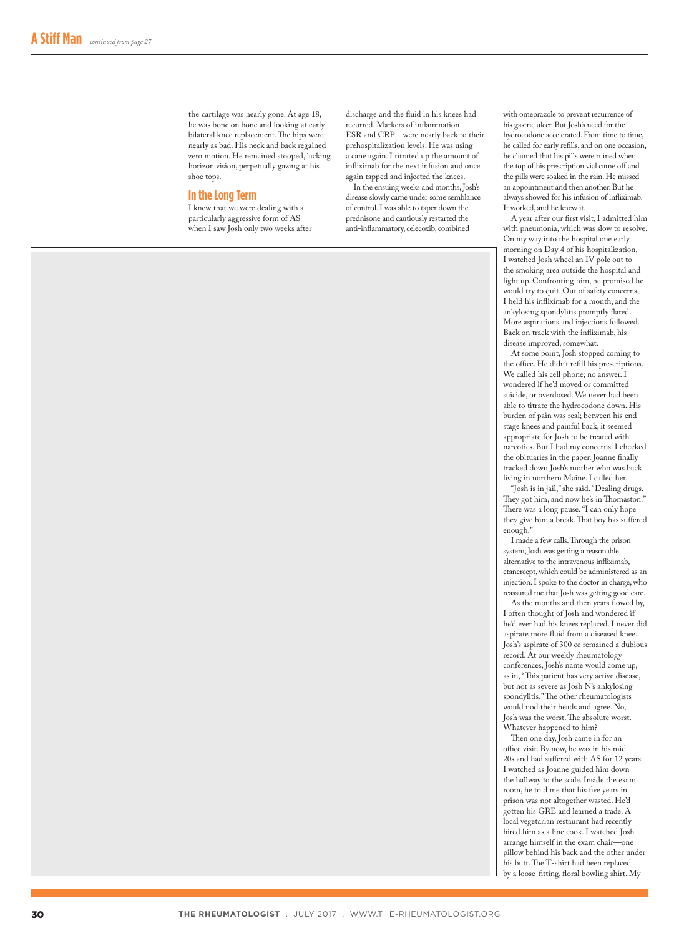the cartilage was nearly gone. At age 18, he was bone on bone and looking at early bilateral knee replacement. The hips were nearly as bad. His neck and back regained zero motion. He remained stooped, lacking horizon vision, perpetually gazing at his shoe tops.

#### **In the Long Term**

I knew that we were dealing with a particularly aggressive form of AS when I saw Josh only two weeks after

discharge and the fluid in his knees had recurred. Markers of inflammation— ESR and CRP—were nearly back to their prehospitalization levels. He was using a cane again. I titrated up the amount of infliximab for the next infusion and once again tapped and injected the knees.

In the ensuing weeks and months, Josh's disease slowly came under some semblance of control. I was able to taper down the prednisone and cautiously restarted the anti-inflammatory, celecoxib, combined

with omeprazole to prevent recurrence of his gastric ulcer. But Josh's need for the hydrocodone accelerated. From time to time, he called for early refills, and on one occasion, he claimed that his pills were ruined when the top of his prescription vial came off and the pills were soaked in the rain. He missed an appointment and then another. But he always showed for his infusion of infliximab. It worked, and he knew it.

A year after our first visit, I admitted him with pneumonia, which was slow to resolve. On my way into the hospital one early morning on Day 4 of his hospitalization, I watched Josh wheel an IV pole out to the smoking area outside the hospital and light up. Confronting him, he promised he would try to quit. Out of safety concerns, I held his infliximab for a month, and the ankylosing spondylitis promptly flared. More aspirations and injections followed. Back on track with the infliximab, his disease improved, somewhat.

At some point, Josh stopped coming to the office. He didn't refill his prescriptions. We called his cell phone; no answer. I wondered if he'd moved or committed suicide, or overdosed. We never had been able to titrate the hydrocodone down. His burden of pain was real; between his endstage knees and painful back, it seemed appropriate for Josh to be treated with narcotics. But I had my concerns. I checked the obituaries in the paper. Joanne finally tracked down Josh's mother who was back living in northern Maine. I called her.

"Josh is in jail," she said. "Dealing drugs. They got him, and now he's in Thomaston." There was a long pause. "I can only hope they give him a break. That boy has suffered enough."

I made a few calls. Through the prison system, Josh was getting a reasonable alternative to the intravenous infliximab, etanercept, which could be administered as an injection. I spoke to the doctor in charge, who reassured me that Josh was getting good care.

As the months and then years flowed by, I often thought of Josh and wondered if he'd ever had his knees replaced. I never did aspirate more fluid from a diseased knee. Josh's aspirate of 300 cc remained a dubious record. At our weekly rheumatology conferences, Josh's name would come up, as in, "This patient has very active disease, but not as severe as Josh N's ankylosing spondylitis." The other rheumatologists would nod their heads and agree. No, Josh was the worst. The absolute worst. Whatever happened to him?

Then one day, Josh came in for an office visit. By now, he was in his mid-20s and had suffered with AS for 12 years. I watched as Joanne guided him down the hallway to the scale. Inside the exam room, he told me that his five years in prison was not altogether wasted. He'd gotten his GRE and learned a trade. A local vegetarian restaurant had recently hired him as a line cook. I watched Josh arrange himself in the exam chair—one pillow behind his back and the other under his butt. The T-shirt had been replaced by a loose-fitting, floral bowling shirt. My